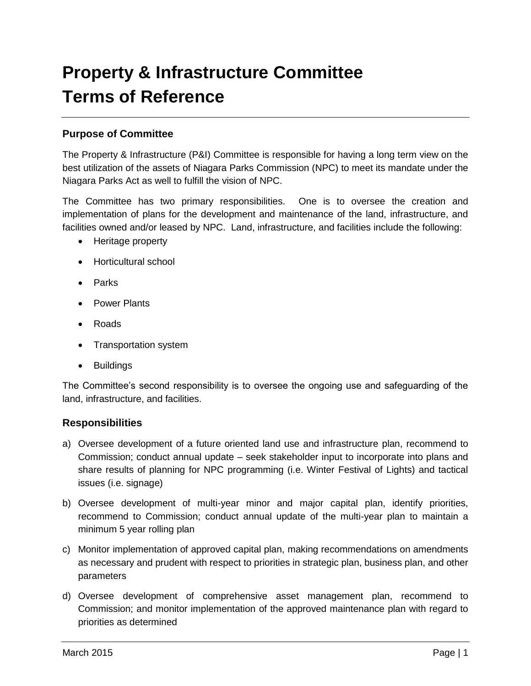# **Property & Infrastructure Committee Terms of Reference**

# **Purpose of Committee**

The Property & Infrastructure (P&I) Committee is responsible for having a long term view on the best utilization of the assets of Niagara Parks Commission (NPC) to meet its mandate under the Niagara Parks Act as well to fulfill the vision of NPC.

The Committee has two primary responsibilities. One is to oversee the creation and implementation of plans for the development and maintenance of the land, infrastructure, and facilities owned and/or leased by NPC. Land, infrastructure, and facilities include the following:

- Heritage property
- Horticultural school
- Parks
- Power Plants
- Roads
- Transportation system
- Buildings

The Committee's second responsibility is to oversee the ongoing use and safeguarding of the land, infrastructure, and facilities.

#### **Responsibilities**

- a) Oversee development of a future oriented land use and infrastructure plan, recommend to Commission; conduct annual update – seek stakeholder input to incorporate into plans and share results of planning for NPC programming (i.e. Winter Festival of Lights) and tactical issues (i.e. signage)
- b) Oversee development of multi-year minor and major capital plan, identify priorities, recommend to Commission; conduct annual update of the multi-year plan to maintain a minimum 5 year rolling plan
- c) Monitor implementation of approved capital plan, making recommendations on amendments as necessary and prudent with respect to priorities in strategic plan, business plan, and other parameters
- d) Oversee development of comprehensive asset management plan, recommend to Commission; and monitor implementation of the approved maintenance plan with regard to priorities as determined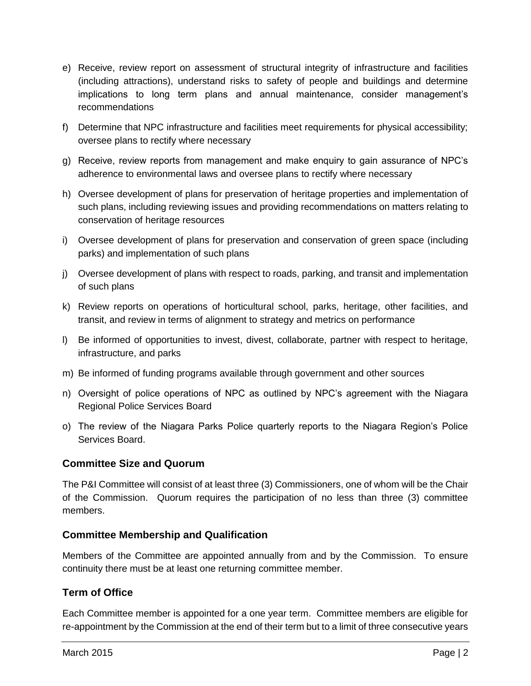- e) Receive, review report on assessment of structural integrity of infrastructure and facilities (including attractions), understand risks to safety of people and buildings and determine implications to long term plans and annual maintenance, consider management's recommendations
- f) Determine that NPC infrastructure and facilities meet requirements for physical accessibility; oversee plans to rectify where necessary
- g) Receive, review reports from management and make enquiry to gain assurance of NPC's adherence to environmental laws and oversee plans to rectify where necessary
- h) Oversee development of plans for preservation of heritage properties and implementation of such plans, including reviewing issues and providing recommendations on matters relating to conservation of heritage resources
- i) Oversee development of plans for preservation and conservation of green space (including parks) and implementation of such plans
- j) Oversee development of plans with respect to roads, parking, and transit and implementation of such plans
- k) Review reports on operations of horticultural school, parks, heritage, other facilities, and transit, and review in terms of alignment to strategy and metrics on performance
- l) Be informed of opportunities to invest, divest, collaborate, partner with respect to heritage, infrastructure, and parks
- m) Be informed of funding programs available through government and other sources
- n) Oversight of police operations of NPC as outlined by NPC's agreement with the Niagara Regional Police Services Board
- o) The review of the Niagara Parks Police quarterly reports to the Niagara Region's Police Services Board.

#### **Committee Size and Quorum**

The P&I Committee will consist of at least three (3) Commissioners, one of whom will be the Chair of the Commission. Quorum requires the participation of no less than three (3) committee members.

#### **Committee Membership and Qualification**

Members of the Committee are appointed annually from and by the Commission. To ensure continuity there must be at least one returning committee member.

# **Term of Office**

Each Committee member is appointed for a one year term. Committee members are eligible for re-appointment by the Commission at the end of their term but to a limit of three consecutive years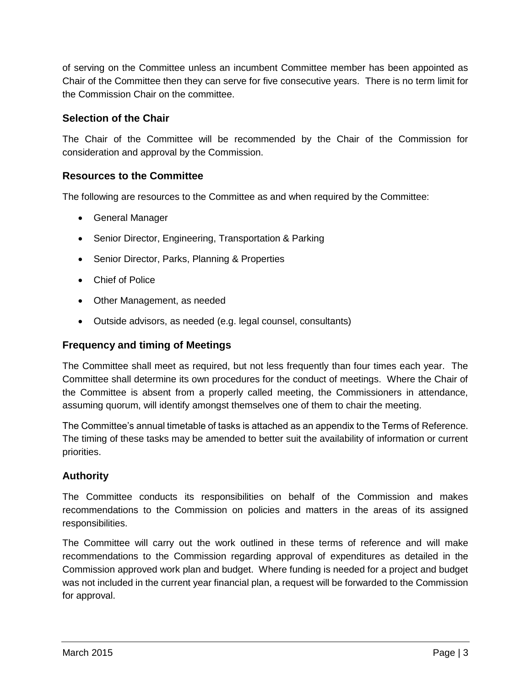of serving on the Committee unless an incumbent Committee member has been appointed as Chair of the Committee then they can serve for five consecutive years. There is no term limit for the Commission Chair on the committee.

# **Selection of the Chair**

The Chair of the Committee will be recommended by the Chair of the Commission for consideration and approval by the Commission.

# **Resources to the Committee**

The following are resources to the Committee as and when required by the Committee:

- General Manager
- Senior Director, Engineering, Transportation & Parking
- Senior Director, Parks, Planning & Properties
- Chief of Police
- Other Management, as needed
- Outside advisors, as needed (e.g. legal counsel, consultants)

### **Frequency and timing of Meetings**

The Committee shall meet as required, but not less frequently than four times each year. The Committee shall determine its own procedures for the conduct of meetings. Where the Chair of the Committee is absent from a properly called meeting, the Commissioners in attendance, assuming quorum, will identify amongst themselves one of them to chair the meeting.

The Committee's annual timetable of tasks is attached as an appendix to the Terms of Reference. The timing of these tasks may be amended to better suit the availability of information or current priorities.

# **Authority**

The Committee conducts its responsibilities on behalf of the Commission and makes recommendations to the Commission on policies and matters in the areas of its assigned responsibilities.

The Committee will carry out the work outlined in these terms of reference and will make recommendations to the Commission regarding approval of expenditures as detailed in the Commission approved work plan and budget. Where funding is needed for a project and budget was not included in the current year financial plan, a request will be forwarded to the Commission for approval.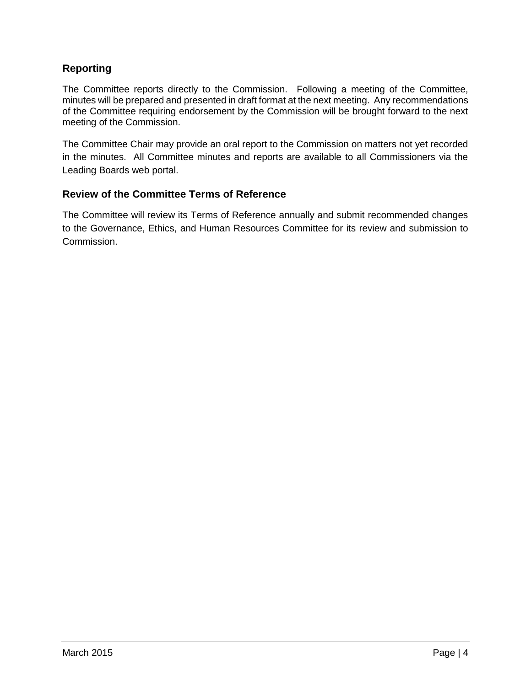# **Reporting**

The Committee reports directly to the Commission. Following a meeting of the Committee, minutes will be prepared and presented in draft format at the next meeting. Any recommendations of the Committee requiring endorsement by the Commission will be brought forward to the next meeting of the Commission.

The Committee Chair may provide an oral report to the Commission on matters not yet recorded in the minutes. All Committee minutes and reports are available to all Commissioners via the Leading Boards web portal.

# **Review of the Committee Terms of Reference**

The Committee will review its Terms of Reference annually and submit recommended changes to the Governance, Ethics, and Human Resources Committee for its review and submission to Commission.